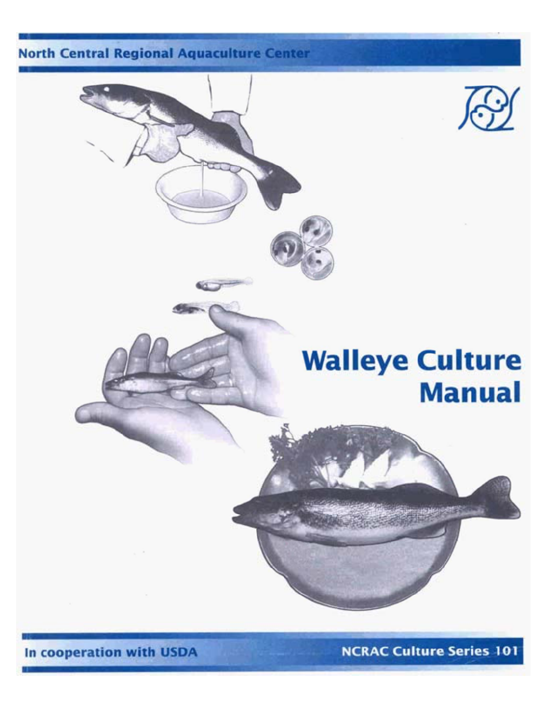### **North Central Regional Aquaculture Center**



In cooperation with USDA

**NCRAC Culture Series 101**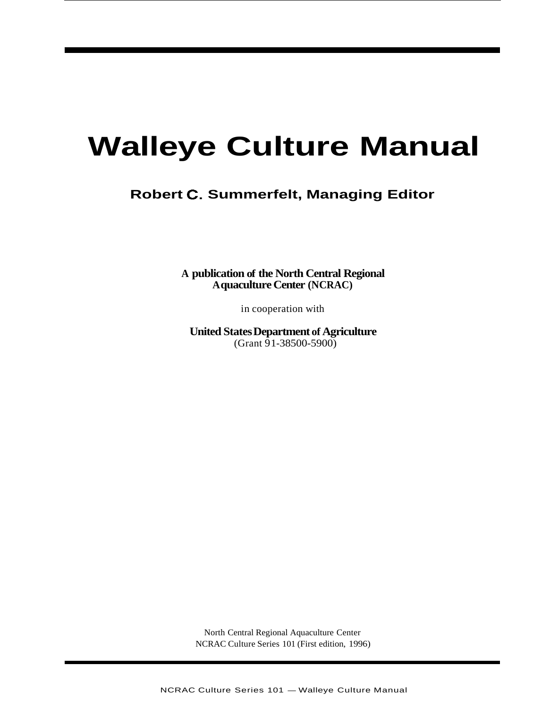## **Walleye Culture Manual**

#### **Robert C. Summerfelt, Managing Editor**

**A publication of the North Central Regional Aquaculture Center (NCRAC)** 

in cooperation with

**United States Department of Agriculture**   $(Grant 91-38500-5900)$ 

North Central Regional Aquaculture Center NCRAC Culture Series 101 (First edition, 1996)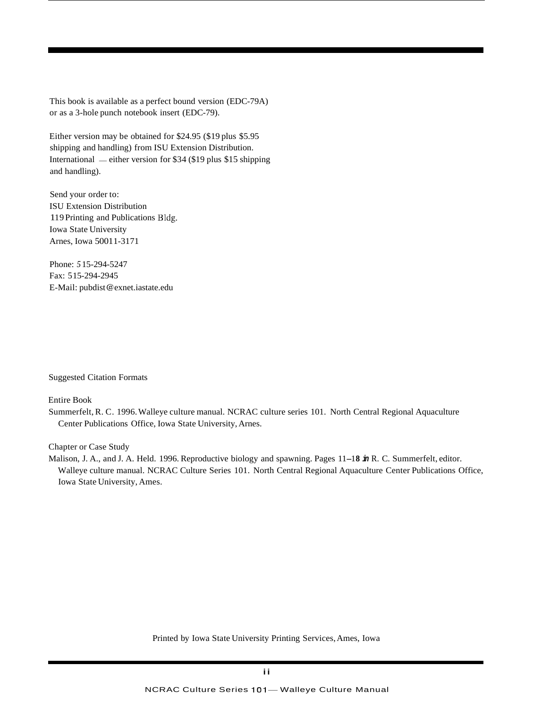This book is available as a perfect bound version (EDC-79A) or as a 3-hole punch notebook insert (EDC-79).

Either version may be obtained for \$24.95 (\$19 plus \$5.95 shipping and handling) from ISU Extension Distribution. International  $-$  either version for \$34 (\$19 plus \$15 shipping and handling).

Send your order to: ISU Extension Distribution 119 Printing and Publications Iowa State University Arnes, Iowa 50011-3171

Phone: *5* 15-294-5247 Fax: 515-294-2945 E-Mail: pubdist@exnet.iastate.edu

Suggested Citation Formats

Entire Book

Summerfelt, R. C. 1996. Walleye culture manual. NCRAC culture series 101. North Central Regional Aquaculture Center Publications Office, Iowa State University, Arnes.

Chapter or Case Study

Malison, J. A., and J. A. Held. 1996. Reproductive biology and spawning. Pages 11-1**<sup>8</sup>***in* R. C. Summerfelt, editor. Walleye culture manual. NCRAC Culture Series 101. North Central Regional Aquaculture Center Publications Office, Iowa State University, Ames.

Printed by Iowa State University Printing Services, Ames, Iowa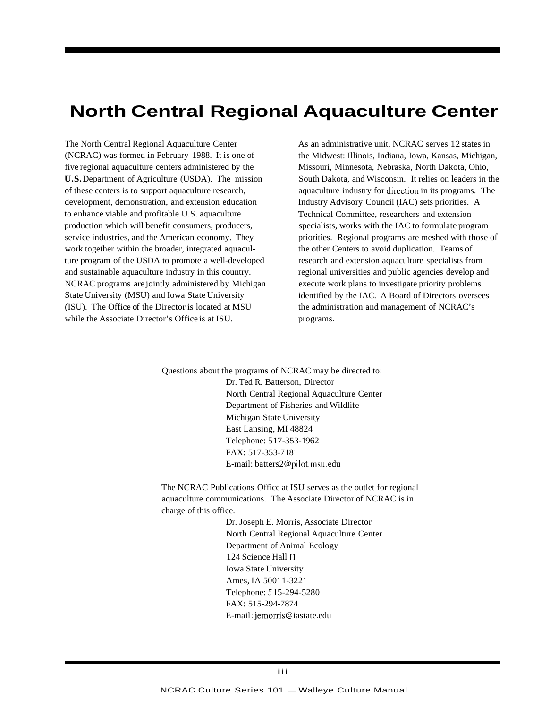#### **North Central Regional Aquaculture Center**

The North Central Regional Aquaculture Center As an administrative unit, NCRAC serves 12 states in (NCRAC) was formed in February 1988. It is one of the Midwest: Illinois, Indiana, Iowa, Kansas, Michigan, five regional aquaculture centers administered by the Missouri, Minnesota, Nebraska, North Dakota, Ohio, **U.S.** Department of Agriculture (USDA). The mission South Dakota, and Wisconsin. It relies on leaders in the of these centers is to support aquaculture research, aquaculture industry for in its programs. The development, demonstration, and extension education Industry Advisory Council (IAC) sets priorities. A to enhance viable and profitable U.S. aquaculture Technical Committee, researchers and extension production which will benefit consumers, producers, specialists, works with the IAC to formulate program service industries, and the American economy. They priorities. Regional programs are meshed with those of work together within the broader, integrated aquacul-<br>the other Centers to avoid duplication. Teams of ture program of the USDA to promote a well-developed research and extension aquaculture specialists from and sustainable aquaculture industry in this country. regional universities and public agencies develop and NCRAC programs are jointly administered by Michigan execute work plans to investigate priority problems State University (MSU) and Iowa State University identified by the IAC. A Board of Directors oversees (ISU). The Office of the Director is located at MSU the administration and management of NCRAC's while the Associate Director's Office is at ISU. programs.

Questions about the programs of NCRAC may be directed to: Dr. Ted R. Batterson, Director North Central Regional Aquaculture Center Department of Fisheries and Wildlife Michigan State University East Lansing, MI 48824 Telephone: 517-353-1962 FAX: 517-353-7181 E-mail: batters2@pilot.msu.edu

The NCRAC Publications Office at ISU serves as the outlet for regional aquaculture communications. The Associate Director of NCRAC is in charge of this office.

> Dr. Joseph E. Morris, Associate Director North Central Regional Aquaculture Center Department of Animal Ecology 124 Science Hall Iowa State University Ames, IA 5001 1-3221 Telephone: *5* 15-294-5280 FAX: 515-294-7874 E-mail: jemorris@iastate.edu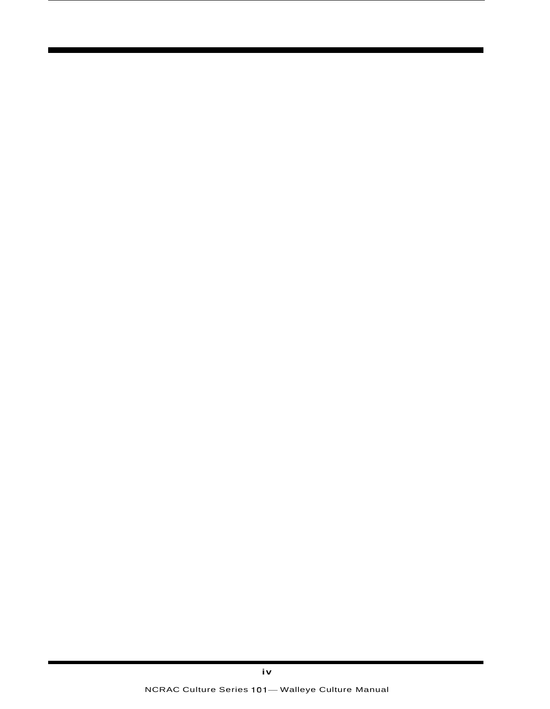**iv**  NCRAC Culture Series 101- Walleye Culture Manual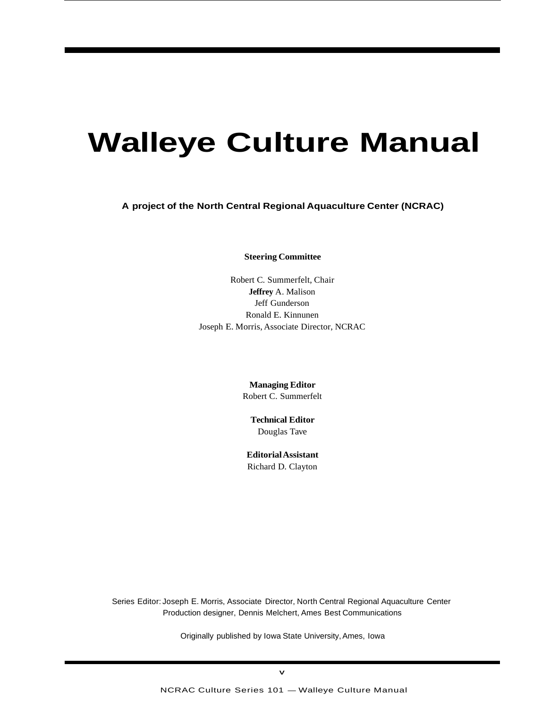## **Walleye Culture Manual**

**A project of the North Central Regional Aquaculture Center (NCRAC)** 

**Steering Committee** 

Robert C. Summerfelt, Chair **Jeffrey** A. Malison Jeff Gunderson Ronald E. Kinnunen Joseph E. Morris, Associate Director, NCRAC

> **Managing Editor**  Robert C. Summerfelt

**Technical Editor**  Douglas Tave

**Editorial Assistant**  Richard D. Clayton

Series Editor: Joseph E. Morris, Associate Director, North Central Regional Aquaculture Center Production designer, Dennis Melchert, Ames Best Communications

Originally published by Iowa State University, Ames, Iowa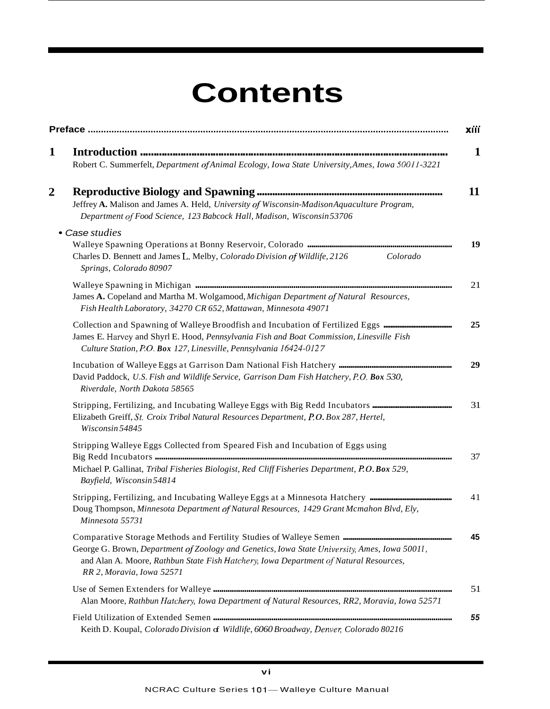# **Contents**

| Robert C. Summerfelt, Department of Animal Ecology, Iowa State University, Ames, Iowa 50011-3221                                                                                                                    |
|---------------------------------------------------------------------------------------------------------------------------------------------------------------------------------------------------------------------|
|                                                                                                                                                                                                                     |
| Jeffrey A. Malison and James A. Held, University of Wisconsin-MadisonAquaculture Program,<br>Department of Food Science, 123 Babcock Hall, Madison, Wisconsin 53706                                                 |
| • Case studies                                                                                                                                                                                                      |
| Charles D. Bennett and James L. Melby, Colorado Division of Wildlife, 2126<br>Colorado<br>Springs, Colorado 80907                                                                                                   |
|                                                                                                                                                                                                                     |
| James A. Copeland and Martha M. Wolgamood, Michigan Department of Natural Resources,<br>Fish Health Laboratory, 34270 CR 652, Mattawan, Minnesota 49071                                                             |
|                                                                                                                                                                                                                     |
| James E. Harvey and Shyrl E. Hood, Pennsylvania Fish and Boat Commission, Linesville Fish<br>Culture Station, P.O. Box 127, Linesville, Pennsylvania 16424-0127                                                     |
|                                                                                                                                                                                                                     |
| David Paddock, U.S. Fish and Wildlife Service, Garrison Dam Fish Hatchery, P.O. Box 530,<br>Riverdale, North Dakota 58565                                                                                           |
|                                                                                                                                                                                                                     |
| Elizabeth Greiff, St. Croix Tribal Natural Resources Department, P.O. Box 287, Hertel,<br>Wisconsin 54845                                                                                                           |
| Stripping Walleye Eggs Collected from Speared Fish and Incubation of Eggs using                                                                                                                                     |
| Michael P. Gallinat, Tribal Fisheries Biologist, Red Cliff Fisheries Department, P.O. Box 529,<br>Bayfield, Wisconsin 54814                                                                                         |
|                                                                                                                                                                                                                     |
| Doug Thompson, Minnesota Department of Natural Resources, 1429 Grant Mcmahon Blvd, Ely,<br>Minnesota 55731                                                                                                          |
|                                                                                                                                                                                                                     |
| George G. Brown, Department of Zoology and Genetics, Iowa State University, Ames, Iowa 50011,<br>and Alan A. Moore, Rathbun State Fish Hatchery, Iowa Department of Natural Resources,<br>RR 2, Moravia, Iowa 52571 |
| Alan Moore, Rathbun Hatchery, Iowa Department of Natural Resources, RR2, Moravia, Iowa 52571                                                                                                                        |
|                                                                                                                                                                                                                     |
| Keith D. Koupal, Colorado Division & Wildlife, 6060 Broadway, Denver, Colorado 80216                                                                                                                                |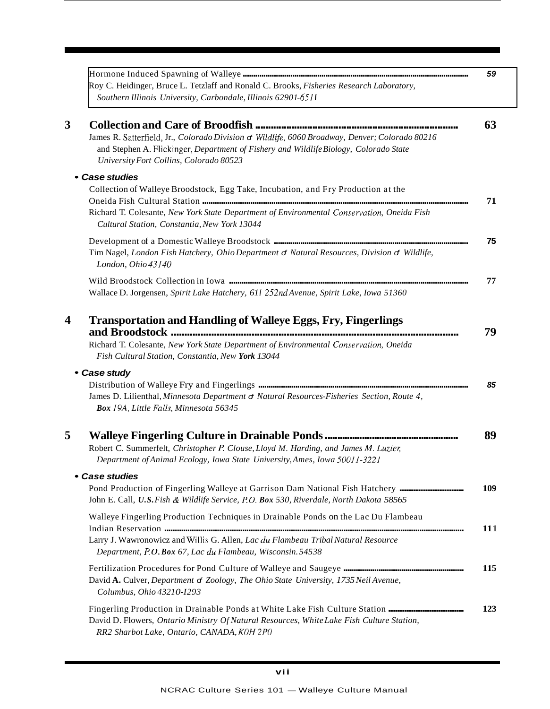<span id="page-7-0"></span>

|   |                                                                                                                                                                                                                                    | 59       |
|---|------------------------------------------------------------------------------------------------------------------------------------------------------------------------------------------------------------------------------------|----------|
|   | Roy C. Heidinger, Bruce L. Tetzlaff and Ronald C. Brooks, Fisheries Research Laboratory,<br>Southern Illinois University, Carbondale, Illinois 62901-6511                                                                          |          |
| 3 |                                                                                                                                                                                                                                    | 63       |
|   | James R. Satterfield, Jr., Colorado Division & Wildlife, 6060 Broadway, Denver; Colorado 80216<br>and Stephen A. Flickinger, Department of Fishery and Wildlife Biology, Colorado State<br>University Fort Collins, Colorado 80523 |          |
|   | • Case studies                                                                                                                                                                                                                     |          |
|   | Collection of Walleye Broodstock, Egg Take, Incubation, and Fry Production at the                                                                                                                                                  | 71       |
|   | Richard T. Colesante, New York State Department of Environmental Conservation, Oneida Fish<br>Cultural Station, Constantia, New York 13044                                                                                         |          |
|   |                                                                                                                                                                                                                                    | 75       |
|   | Tim Nagel, London Fish Hatchery, Ohio Department of Natural Resources, Division of Wildlife,<br>London, Ohio 43140                                                                                                                 |          |
|   |                                                                                                                                                                                                                                    | 77       |
|   | Wallace D. Jorgensen, Spirit Lake Hatchery, 611 252nd Avenue, Spirit Lake, Iowa 51360                                                                                                                                              |          |
| ٠ | Richard T. Colesante, New York State Department of Environmental Conservation, Oneida<br>Fish Cultural Station, Constantia, New York 13044<br>Case study                                                                           | 79<br>85 |
|   | James D. Lilienthal, Minnesota Department of Natural Resources-Fisheries Section, Route 4,<br>Box 19A, Little Falls, Minnesota 56345                                                                                               |          |
| 5 | Walleye Fingerling Culture in Drainable Ponds _____________________                                                                                                                                                                | 89       |
|   | Robert C. Summerfelt, Christopher P. Clouse, Lloyd M. Harding, and James M. Luzier,<br>Department of Animal Ecology, Iowa State University, Ames, Iowa 50011-3221                                                                  |          |
|   | <b>Case studies</b>                                                                                                                                                                                                                |          |
|   | John E. Call, U.S. Fish & Wildlife Service, P.O. Box 530, Riverdale, North Dakota 58565                                                                                                                                            | 109      |
|   | Walleye Fingerling Production Techniques in Drainable Ponds on the Lac Du Flambeau                                                                                                                                                 | 111      |
|   | Larry J. Wawronowicz and Willis G. Allen, Lac du Flambeau Tribal Natural Resource<br>Department, P.O. Box 67, Lac du Flambeau, Wisconsin. 54538                                                                                    |          |
|   | David A. Culver, Department & Zoology, The Ohio State University, 1735 Neil Avenue,<br>Columbus, Ohio 43210-1293                                                                                                                   | 115      |
|   | David D. Flowers, Ontario Ministry Of Natural Resources, White Lake Fish Culture Station,<br>RR2 Sharbot Lake, Ontario, CANADA, K0H 2P0                                                                                            | 123      |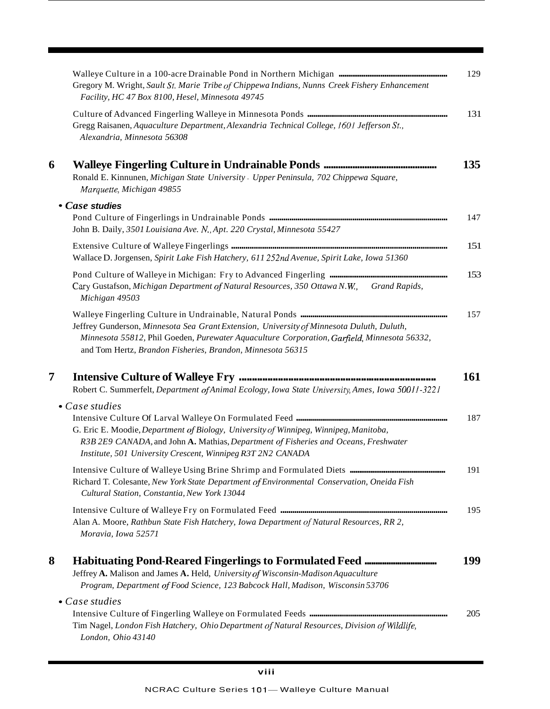|                | Gregory M. Wright, Sault St. Marie Tribe of Chippewa Indians, Nunns Creek Fishery Enhancement<br>Facility, HC 47 Box 8100, Hesel, Minnesota 49745                                                                                                         |
|----------------|-----------------------------------------------------------------------------------------------------------------------------------------------------------------------------------------------------------------------------------------------------------|
|                | Gregg Raisanen, Aquaculture Department, Alexandria Technical College, 1601 Jefferson St.,<br>Alexandria, Minnesota 56308                                                                                                                                  |
| 6              | Ronald E. Kinnunen, Michigan State University - Upper Peninsula, 702 Chippewa Square,<br>Marquette, Michigan 49855                                                                                                                                        |
|                | • Case studies                                                                                                                                                                                                                                            |
|                | John B. Daily, 3501 Louisiana Ave. N., Apt. 220 Crystal, Minnesota 55427<br>Wallace D. Jorgensen, Spirit Lake Fish Hatchery, 611 252nd Avenue, Spirit Lake, Iowa 51360                                                                                    |
|                | Cary Gustafson, Michigan Department of Natural Resources, 350 Ottawa N.W.,<br>Grand Rapids,<br>Michigan 49503                                                                                                                                             |
|                | Jeffrey Gunderson, Minnesota Sea Grant Extension, University of Minnesota Duluth, Duluth,<br>Minnesota 55812, Phil Goeden, Purewater Aquaculture Corporation, Garfield, Minnesota 56332,<br>and Tom Hertz, Brandon Fisheries, Brandon, Minnesota 56315    |
| $\overline{7}$ | Robert C. Summerfelt, Department of Animal Ecology, Iowa State University, Ames, Iowa 50011-3221                                                                                                                                                          |
|                | $\bullet$ Case studies                                                                                                                                                                                                                                    |
|                | G. Eric E. Moodie, Department of Biology, University of Winnipeg, Winnipeg, Manitoba,<br>R3B 2E9 CANADA, and John A. Mathias, Department of Fisheries and Oceans, Freshwater<br>Institute, 501 University Crescent, Winnipeg R3T 2N2 CANADA               |
|                | Richard T. Colesante, New York State Department of Environmental Conservation, Oneida Fish<br>Cultural Station, Constantia, New York 13044                                                                                                                |
|                | Alan A. Moore, Rathbun State Fish Hatchery, Iowa Department of Natural Resources, RR 2,<br>Moravia, Iowa 52571                                                                                                                                            |
| 8              | Habituating Pond-Reared Fingerlings to Formulated Feed __________________________<br>Jeffrey A. Malison and James A. Held, University of Wisconsin-Madison Aquaculture<br>Program, Department of Food Science, 123 Babcock Hall, Madison, Wisconsin 53706 |
|                | $\bullet$ Case studies                                                                                                                                                                                                                                    |
|                | Tim Nagel, London Fish Hatchery, Ohio Department of Natural Resources, Division of Wildlife,<br>London, Ohio 43140                                                                                                                                        |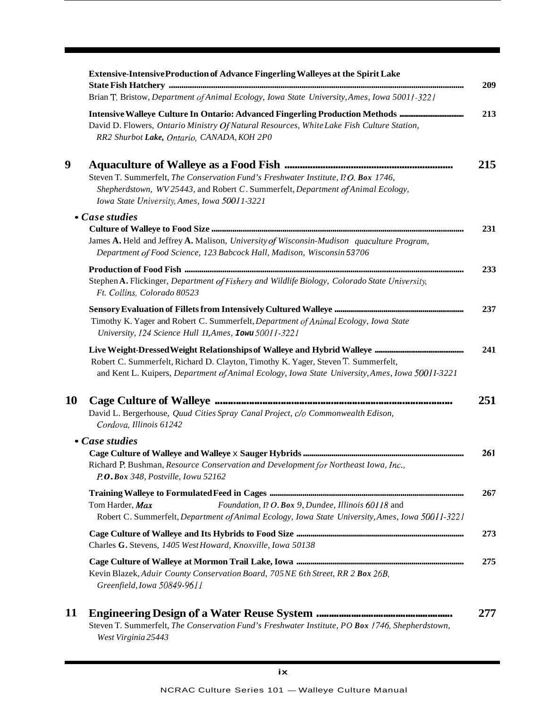| <b>Extensive-IntensiveProduction of Advance Fingerling Walleyes at the Spirit Lake</b>                                                                                                                                 |
|------------------------------------------------------------------------------------------------------------------------------------------------------------------------------------------------------------------------|
| Brian T. Bristow, Department of Animal Ecology, Iowa State University, Ames, Iowa 50011-3221                                                                                                                           |
| David D. Flowers, Ontario Ministry Of Natural Resources, White Lake Fish Culture Station,<br>RR2 Shurbot Lake, Ontario, CANADA, KOH 2P0                                                                                |
| Steven T. Summerfelt, The Conservation Fund's Freshwater Institute, I?O. Box 1746,<br>Shepherdstown, WV 25443, and Robert C. Summerfelt, Department of Animal Ecology,<br>Iowa State University, Ames, Iowa 50011-3221 |
| • Case studies                                                                                                                                                                                                         |
| James A. Held and Jeffrey A. Malison, University of Wisconsin-Mudison quaculture Program,<br>Department of Food Science, 123 Babcock Hall, Madison, Wisconsin 53706                                                    |
| Stephen A. Flickinger, Department of Fishery and Wildlife Biology, Colorado State University,<br>Ft. Collins, Colorado 80523                                                                                           |
| Timothy K. Yager and Robert C. Summerfelt, Department of Animal Ecology, Iowa State<br>University, 124 Science Hull 11, Ames, Jown 50011-3221                                                                          |
| Robert C. Summerfelt, Richard D. Clayton, Timothy K. Yager, Steven T. Summerfelt,<br>and Kent L. Kuipers, Department of Animal Ecology, Iowa State University, Ames, Iowa 50011-3221                                   |
| David L. Bergerhouse, Quud Cities Spray Canal Project, c/o Commonwealth Edison,                                                                                                                                        |
| Cordova, Illinois 61242                                                                                                                                                                                                |
| • Case studies                                                                                                                                                                                                         |
| Richard P. Bushman, Resource Conservation and Development for Northeast Iowa, Inc.,<br>P.O.Box 348, Postville, Iowu 52162                                                                                              |
| Foundation, I? O. Box 9, Dundee, Illinois 60118 and<br>Tom Harder, Max<br>Robert C. Summerfelt, Department of Animal Ecology, Iowa State University, Ames, Iowa 50011-3221                                             |
| Charles G. Stevens, 1405 West Howard, Knoxville, Iowa 50138                                                                                                                                                            |
| Kevin Blazek, Aduir County Conservation Board, 705NE 6th Street, RR 2 Box 26B,<br>Greenfield, Iowa 50849-9611                                                                                                          |
|                                                                                                                                                                                                                        |

Steven T. Summerfelt, *The Conservation Fund's Freshwater Institute, PO Box 1746, Shepherdstown, West Virginia 25443*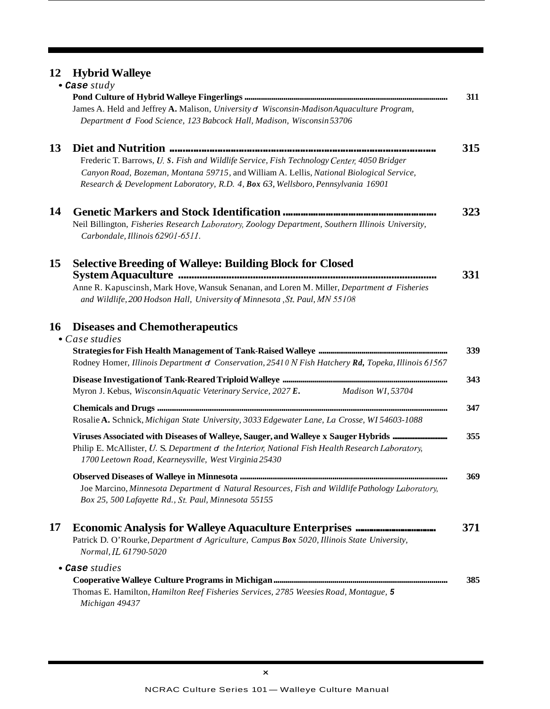#### **12 Hybrid Walleye**

| ┸ <del></del> | LLYDI IU VY ALICYC<br>• Case study                                                                                                                                                                                                                                         |
|---------------|----------------------------------------------------------------------------------------------------------------------------------------------------------------------------------------------------------------------------------------------------------------------------|
|               |                                                                                                                                                                                                                                                                            |
|               | James A. Held and Jeffrey A. Malison, University of Wisconsin-Madison Aquaculture Program,<br>Department of Food Science, 123 Babcock Hall, Madison, Wisconsin 53706                                                                                                       |
| 13            |                                                                                                                                                                                                                                                                            |
|               | Frederic T. Barrows, U. S. Fish and Wildlife Service, Fish Technology Center, 4050 Bridger<br>Canyon Road, Bozeman, Montana 59715, and William A. Lellis, National Biological Service,<br>Research & Development Laboratory, R.D. 4, Box 63, Wellsboro, Pennsylvania 16901 |
| 14            | Genetic Markers and Stock Identification <b>--------------------------------</b>                                                                                                                                                                                           |
|               | Neil Billington, Fisheries Research Laboratory, Zoology Department, Southern Illinois University,<br>Carbondale, Illinois 62901-6511.                                                                                                                                      |
| 15            | <b>Selective Breeding of Walleye: Building Block for Closed</b>                                                                                                                                                                                                            |
|               | Anne R. Kapuscinsh, Mark Hove, Wansuk Senanan, and Loren M. Miller, Department of Fisheries<br>and Wildlife, 200 Hodson Hall, University of Minnesota , St. Paul, MN 55108                                                                                                 |
| <b>16</b>     | <b>Diseases and Chemotherapeutics</b>                                                                                                                                                                                                                                      |
|               | $\bullet$ Case studies                                                                                                                                                                                                                                                     |
|               | Rodney Homer, Illinois Department & Conservation, 25410 N Fish Hatchery Rd, Topeka, Illinois 61567                                                                                                                                                                         |
|               |                                                                                                                                                                                                                                                                            |
|               | Myron J. Kebus, WisconsinAquatic Veterinary Service, 2027 E.<br>Madison WI, 53704                                                                                                                                                                                          |
|               |                                                                                                                                                                                                                                                                            |
|               | Rosalie A. Schnick, Michigan State University, 3033 Edgewater Lane, La Crosse, WI 54603-1088                                                                                                                                                                               |
|               | Philip E. McAllister, U. S. Department of the Interior, National Fish Health Research Laboratory,<br>1700 Leetown Road, Kearneysville, West Virginia 25430                                                                                                                 |
|               | Joe Marcino, Minnesota Department & Natural Resources, Fish and Wildlife Pathology Laboratory,<br>Box 25, 500 Lafayette Rd., St. Paul, Minnesota 55155                                                                                                                     |
| 17            | <b>Economic Analysis for Walleye Aquaculture Enterprises</b>                                                                                                                                                                                                               |
|               | Patrick D. O'Rourke, Department of Agriculture, Campus Box 5020, Illinois State University,<br>Normal, IL 61790-5020                                                                                                                                                       |
|               | • Case studies                                                                                                                                                                                                                                                             |
|               |                                                                                                                                                                                                                                                                            |
|               | Thomas E. Hamilton, <i>Hamilton Reef Fisheries Services</i> , 2785 Weesies Road, Montague, 5<br>Michigan 49437                                                                                                                                                             |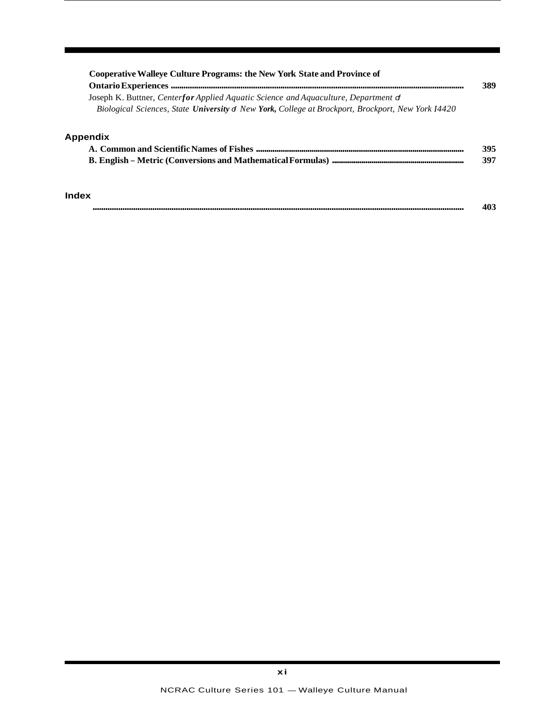| <b>Cooperative Walleye Culture Programs: the New York State and Province of</b>                                                                                                           | 389        |
|-------------------------------------------------------------------------------------------------------------------------------------------------------------------------------------------|------------|
| Joseph K. Buttner, Centerfor Applied Aquatic Science and Aquaculture, Department of<br>Biological Sciences, State University of New York, College at Brockport, Brockport, New York 14420 |            |
| <b>Appendix</b>                                                                                                                                                                           | 395<br>397 |
| Index                                                                                                                                                                                     | 403        |